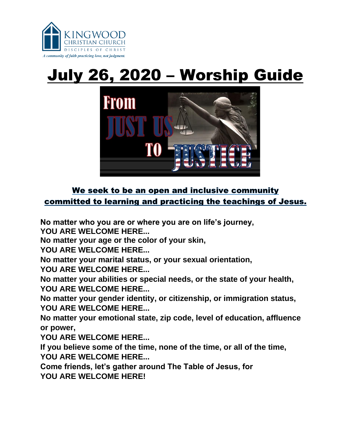

# July 26, 2020 – Worship Guide



# We seek to be an open and inclusive community committed to learning and practicing the teachings of Jesus.

**No matter who you are or where you are on life's journey,** 

**YOU ARE WELCOME HERE...**

**No matter your age or the color of your skin,**

**YOU ARE WELCOME HERE...**

**No matter your marital status, or your sexual orientation,**

**YOU ARE WELCOME HERE...**

**No matter your abilities or special needs, or the state of your health, YOU ARE WELCOME HERE...**

**No matter your gender identity, or citizenship, or immigration status, YOU ARE WELCOME HERE...**

**No matter your emotional state, zip code, level of education, affluence or power,** 

**YOU ARE WELCOME HERE...**

**If you believe some of the time, none of the time, or all of the time, YOU ARE WELCOME HERE...**

**Come friends, let's gather around The Table of Jesus, for YOU ARE WELCOME HERE!**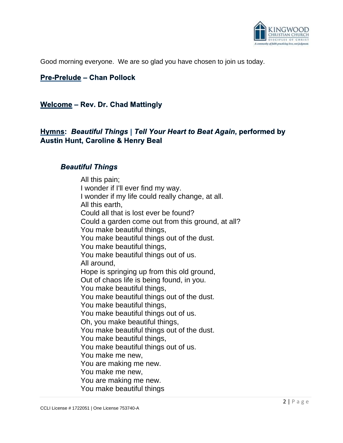

Good morning everyone. We are so glad you have chosen to join us today.

#### **Pre-Prelude - Chan Pollock**

Welcome - Rev. Dr. Chad Mattingly

# Hymns: Beautiful Things | Tell Your Heart to Beat Again, performed by **Austin Hunt, Caroline & Henry Beal**

#### **Beautiful Things**

All this pain; I wonder if I'll ever find my way. I wonder if my life could really change, at all. All this earth, Could all that is lost ever be found? Could a garden come out from this ground, at all? You make beautiful things, You make beautiful things out of the dust. You make beautiful things, You make beautiful things out of us. All around, Hope is springing up from this old ground, Out of chaos life is being found, in you. You make beautiful things, You make beautiful things out of the dust. You make beautiful things, You make beautiful things out of us. Oh, you make beautiful things, You make beautiful things out of the dust. You make beautiful things, You make beautiful things out of us. You make me new, You are making me new. You make me new, You are making me new. You make beautiful things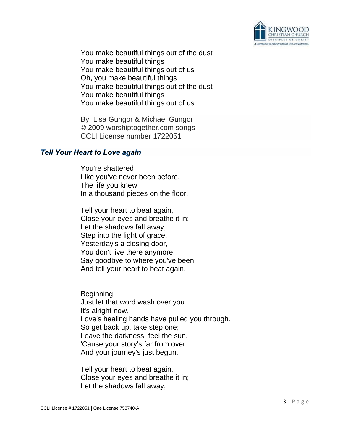

You make beautiful things out of the dust You make beautiful things You make beautiful things out of us Oh, you make beautiful things You make beautiful things out of the dust You make beautiful things You make beautiful things out of us

By: Lisa Gungor & Michael Gungor © 2009 worshiptogether.com songs CCLI License number 1722051

#### **Tell Your Heart to Love again**

You're shattered Like you've never been before. The life you knew In a thousand pieces on the floor.

Tell your heart to beat again, Close your eyes and breathe it in; Let the shadows fall away, Step into the light of grace. Yesterday's a closing door, You don't live there anymore. Say goodbye to where you've been And tell your heart to beat again.

Beginning; Just let that word wash over you. It's alright now, Love's healing hands have pulled you through. So get back up, take step one; Leave the darkness, feel the sun. 'Cause your story's far from over And your journey's just begun.

Tell your heart to beat again, Close your eyes and breathe it in; Let the shadows fall away,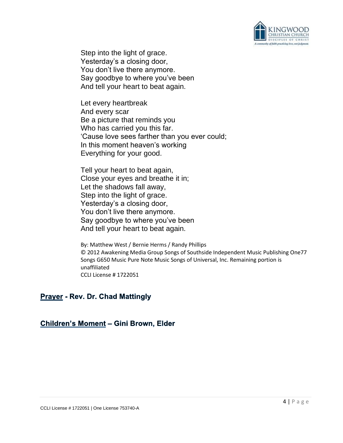

Step into the light of grace. Yesterday's a closing door, You don't live there anymore. Say goodbye to where you've been And tell your heart to beat again.

Let every heartbreak And every scar Be a picture that reminds you Who has carried you this far. 'Cause love sees farther than you ever could; In this moment heaven's working Everything for your good.

Tell your heart to beat again, Close your eyes and breathe it in; Let the shadows fall away, Step into the light of grace. Yesterday's a closing door, You don't live there anymore. Say goodbye to where you've been And tell your heart to beat again.

By: Matthew West / Bernie Herms / Randy Phillips © 2012 Awakening Media Group Songs of Southside Independent Music Publishing One77 Songs G650 Music Pure Note Music Songs of Universal, Inc. Remaining portion is unaffiliated CCLI License # 1722051

#### **Prayer - Rev. Dr. Chad Mattingly**

#### **Children's Moment - Gini Brown, Elder**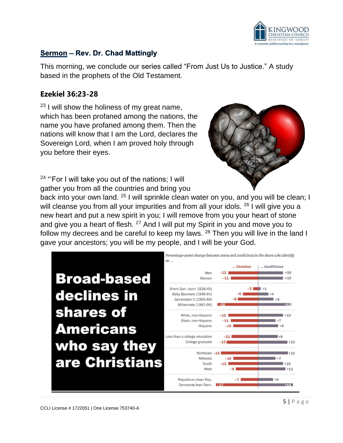

# Sermon - Rev. Dr. Chad Mattingly

This morning, we conclude our series called "From Just Us to Justice." A study based in the prophets of the Old Testament.

# **Ezekiel 36:23-28**

<sup>23</sup> I will show the holiness of my great name, which has been profaned among the nations, the name you have profaned among them. Then the nations will know that I am the Lord, declares the Sovereign Lord, when I am proved holy through you before their eyes.



<sup>24</sup> "'For I will take you out of the nations; I will gather you from all the countries and bring you

back into your own land. <sup>25</sup> I will sprinkle clean water on you, and you will be clean; I will cleanse you from all your impurities and from all your idols. <sup>26</sup> I will give you a new heart and put a new spirit in you; I will remove from you your heart of stone and give you a heart of flesh.  $27$  And I will put my Spirit in you and move you to follow my decrees and be careful to keep my laws. <sup>28</sup> Then you will live in the land I gave your ancestors; you will be my people, and I will be your God.

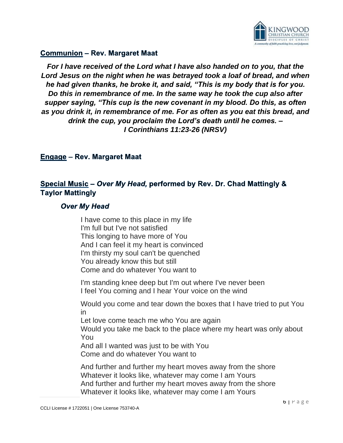

### **Communion - Rev. Margaret Maat**

*For I have received of the Lord what I have also handed on to you, that the Lord Jesus on the night when he was betrayed took a loaf of bread, and when he had given thanks, he broke it, and said, "This is my body that is for you. Do this in remembrance of me. In the same way he took the cup also after supper saying, "This cup is the new covenant in my blood. Do this, as often as you drink it, in remembrance of me. For as often as you eat this bread, and drink the cup, you proclaim the Lord's death until he comes. – I Corinthians 11:23-26 (NRSV)*

#### **Engage - Rev. Margaret Maat**

# Special Music - Over My Head, performed by Rev. Dr. Chad Mattingly & **Taylor Mattingly**

#### **Over My Head**

I have come to this place in my life I'm full but I've not satisfied This longing to have more of You And I can feel it my heart is convinced I'm thirsty my soul can't be quenched You already know this but still Come and do whatever You want to

I'm standing knee deep but I'm out where I've never been I feel You coming and I hear Your voice on the wind

Would you come and tear down the boxes that I have tried to put You in

Let love come teach me who You are again

Would you take me back to the place where my heart was only about You

And all I wanted was just to be with You Come and do whatever You want to

And further and further my heart moves away from the shore Whatever it looks like, whatever may come I am Yours And further and further my heart moves away from the shore Whatever it looks like, whatever may come I am Yours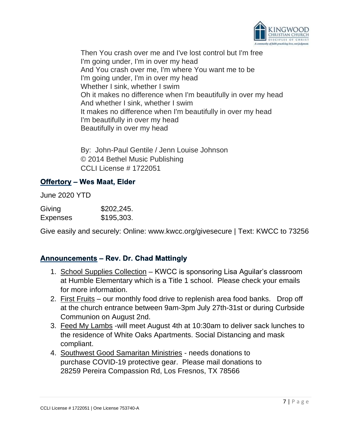

Then You crash over me and I've lost control but I'm free I'm going under, I'm in over my head And You crash over me, I'm where You want me to be I'm going under, I'm in over my head Whether I sink, whether I swim Oh it makes no difference when I'm beautifully in over my head And whether I sink, whether I swim It makes no difference when I'm beautifully in over my head I'm beautifully in over my head Beautifully in over my head

By: John-Paul Gentile / Jenn Louise Johnson © 2014 Bethel Music Publishing CCLI License # 1722051

# **Offertory - Wes Maat, Elder**

June 2020 YTD

Giving \$202,245. Expenses \$195,303.

Give easily and securely: Online: www.kwcc.org/givesecure | Text: KWCC to 73256

# Announcements - Rev. Dr. Chad Mattingly

- 1. School Supplies Collection KWCC is sponsoring Lisa Aguilar's classroom at Humble Elementary which is a Title 1 school. Please check your emails for more information.
- 2. First Fruits our monthly food drive to replenish area food banks. Drop off at the church entrance between 9am-3pm July 27th-31st or during Curbside Communion on August 2nd.
- 3. Feed My Lambs -will meet August 4th at 10:30am to deliver sack lunches to the residence of White Oaks Apartments. Social Distancing and mask compliant.
- 4. Southwest Good Samaritan Ministries needs donations to purchase COVID-19 protective gear. Please mail donations to 28259 Pereira Compassion Rd, Los Fresnos, TX 78566